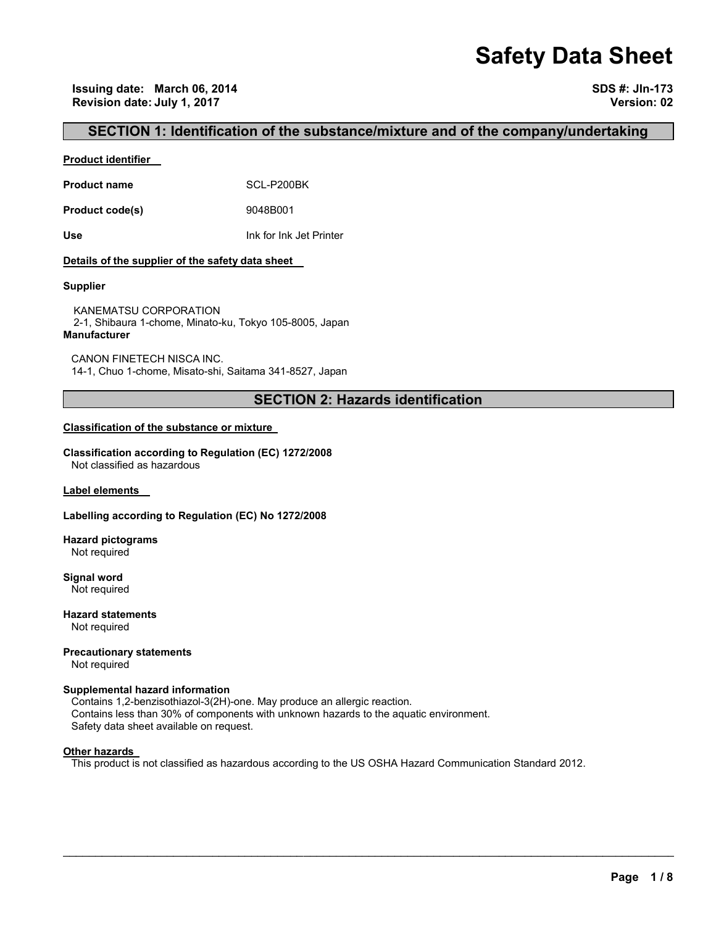# **Safety Data Sheet**

### **SECTION 1: Identification of the substance/mixture and of the company/undertaking**

### **Product identifier**

Product name **SCL-P200BK** 

**Product code(s)** 9048B001

**Use** Ink for Ink Jet Printer

### **Details of the supplier of the safety data sheet**

### **Supplier**

KANEMATSU CORPORATION 2-1, Shibaura 1-chome, Minato-ku, Tokyo 105-8005, Japan **Manufacturer**

CANON FINETECH NISCA INC. 14-1, Chuo 1-chome, Misato-shi, Saitama 341-8527, Japan

# **SECTION 2: Hazards identification**

### **Classification of the substance or mixture**

**Classification according to Regulation (EC) 1272/2008** Not classified as hazardous

**Label elements** 

### **Labelling according to Regulation (EC) No 1272/2008**

**Hazard pictograms** Not required

**Signal word** Not required

**Hazard statements** Not required

**Precautionary statements**  Not required

# **Supplemental hazard information**

Contains 1,2-benzisothiazol-3(2H)-one. May produce an allergic reaction. Contains less than 30% of components with unknown hazards to the aquatic environment. Safety data sheet available on request.

### **Other hazards**

This product is not classified as hazardous according to the US OSHA Hazard Communication Standard 2012.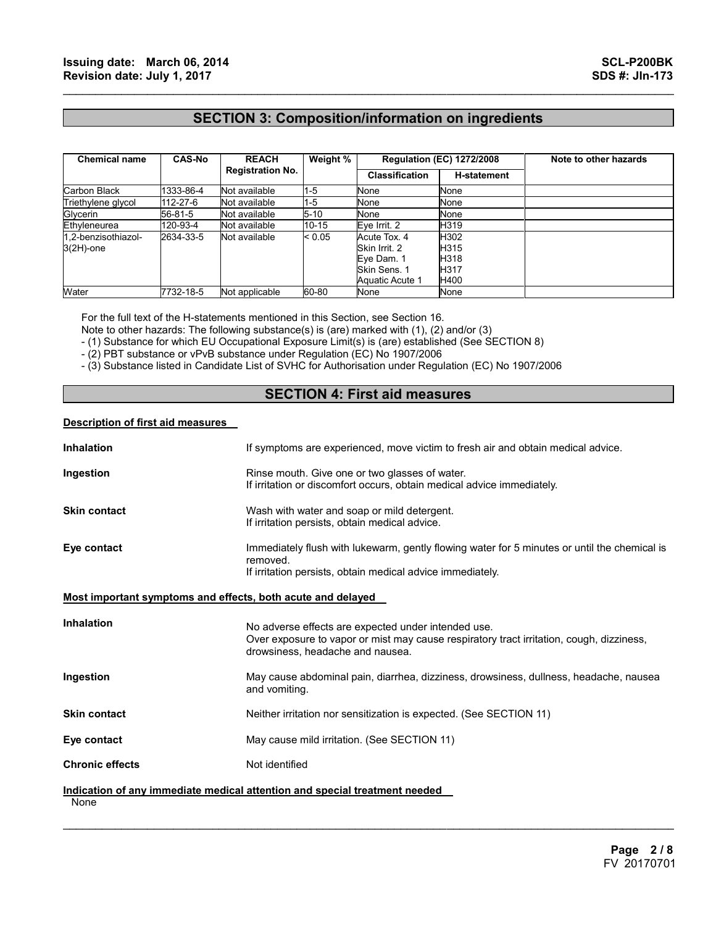# **SECTION 3: Composition/information on ingredients**

 $\mathcal{L}_\mathcal{L} = \{ \mathcal{L}_\mathcal{L} = \{ \mathcal{L}_\mathcal{L} = \{ \mathcal{L}_\mathcal{L} = \{ \mathcal{L}_\mathcal{L} = \{ \mathcal{L}_\mathcal{L} = \{ \mathcal{L}_\mathcal{L} = \{ \mathcal{L}_\mathcal{L} = \{ \mathcal{L}_\mathcal{L} = \{ \mathcal{L}_\mathcal{L} = \{ \mathcal{L}_\mathcal{L} = \{ \mathcal{L}_\mathcal{L} = \{ \mathcal{L}_\mathcal{L} = \{ \mathcal{L}_\mathcal{L} = \{ \mathcal{L}_\mathcal{$ 

| <b>Chemical name</b>                | <b>CAS-No</b> | <b>REACH</b><br><b>Registration No.</b> | Weight %  | <b>Regulation (EC) 1272/2008</b>                                               |                                      | Note to other hazards |
|-------------------------------------|---------------|-----------------------------------------|-----------|--------------------------------------------------------------------------------|--------------------------------------|-----------------------|
|                                     |               |                                         |           | <b>Classification</b>                                                          | <b>H-statement</b>                   |                       |
| Carbon Black                        | 1333-86-4     | Not available                           | $1 - 5$   | None                                                                           | None                                 |                       |
| Triethylene glycol                  | 112-27-6      | Not available                           | $1 - 5$   | None                                                                           | None                                 |                       |
| Glycerin                            | 56-81-5       | Not available                           | $5 - 10$  | None                                                                           | None                                 |                       |
| Ethyleneurea                        | 120-93-4      | Not available                           | $10 - 15$ | Eye Irrit. 2                                                                   | H319                                 |                       |
| 1.2-benzisothiazol-<br>$3(2H)$ -one | 2634-33-5     | Not available                           | < 0.05    | Acute Tox. 4<br>Skin Irrit, 2<br>Eye Dam. 1<br>Skin Sens, 1<br>Aquatic Acute 1 | H302<br>H315<br>H318<br>H317<br>H400 |                       |
| Water                               | 7732-18-5     | Not applicable                          | 60-80     | None                                                                           | None                                 |                       |

For the full text of the H-statements mentioned in this Section, see Section 16.

Note to other hazards: The following substance(s) is (are) marked with (1), (2) and/or (3)

- (1) Substance for which EU Occupational Exposure Limit(s) is (are) established (See SECTION 8)

- (2) PBT substance or vPvB substance under Regulation (EC) No 1907/2006

- (3) Substance listed in Candidate List of SVHC for Authorisation under Regulation (EC) No 1907/2006

# **SECTION 4: First aid measures**

### **Description of first aid measures**

| <b>Inhalation</b>                                           | If symptoms are experienced, move victim to fresh air and obtain medical advice.                                                                                                    |
|-------------------------------------------------------------|-------------------------------------------------------------------------------------------------------------------------------------------------------------------------------------|
| Ingestion                                                   | Rinse mouth. Give one or two glasses of water.<br>If irritation or discomfort occurs, obtain medical advice immediately.                                                            |
| <b>Skin contact</b>                                         | Wash with water and soap or mild detergent.<br>If irritation persists, obtain medical advice.                                                                                       |
| Eye contact                                                 | Immediately flush with lukewarm, gently flowing water for 5 minutes or until the chemical is<br>removed.<br>If irritation persists, obtain medical advice immediately.              |
| Most important symptoms and effects, both acute and delayed |                                                                                                                                                                                     |
| <b>Inhalation</b>                                           | No adverse effects are expected under intended use.<br>Over exposure to vapor or mist may cause respiratory tract irritation, cough, dizziness,<br>drowsiness, headache and nausea. |
| Ingestion                                                   | May cause abdominal pain, diarrhea, dizziness, drowsiness, dullness, headache, nausea<br>and vomiting.                                                                              |
| <b>Skin contact</b>                                         | Neither irritation nor sensitization is expected. (See SECTION 11)                                                                                                                  |
| Eye contact                                                 | May cause mild irritation. (See SECTION 11)                                                                                                                                         |
| <b>Chronic effects</b>                                      | Not identified                                                                                                                                                                      |
| None                                                        | Indication of any immediate medical attention and special treatment needed                                                                                                          |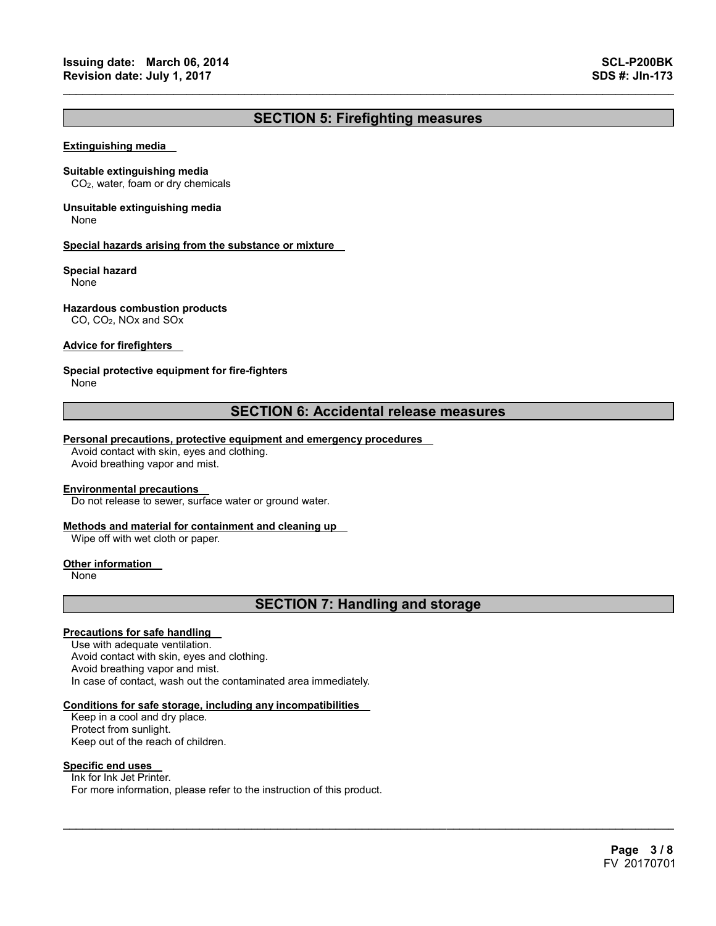# **SECTION 5: Firefighting measures**

 $\mathcal{L}_\mathcal{L} = \{ \mathcal{L}_\mathcal{L} = \{ \mathcal{L}_\mathcal{L} = \{ \mathcal{L}_\mathcal{L} = \{ \mathcal{L}_\mathcal{L} = \{ \mathcal{L}_\mathcal{L} = \{ \mathcal{L}_\mathcal{L} = \{ \mathcal{L}_\mathcal{L} = \{ \mathcal{L}_\mathcal{L} = \{ \mathcal{L}_\mathcal{L} = \{ \mathcal{L}_\mathcal{L} = \{ \mathcal{L}_\mathcal{L} = \{ \mathcal{L}_\mathcal{L} = \{ \mathcal{L}_\mathcal{L} = \{ \mathcal{L}_\mathcal{$ 

#### **Extinguishing media**

#### **Suitable extinguishing media**

CO2, water, foam or dry chemicals

# **Unsuitable extinguishing media**

None

#### **Special hazards arising from the substance or mixture**

### **Special hazard**

None

### **Hazardous combustion products**

CO, CO2, NOx and SOx

### **Advice for firefighters**

### **Special protective equipment for fire-fighters**

None

### **SECTION 6: Accidental release measures**

### **Personal precautions, protective equipment and emergency procedures**

Avoid contact with skin, eyes and clothing. Avoid breathing vapor and mist.

### **Environmental precautions**

Do not release to sewer, surface water or ground water.

### **Methods and material for containment and cleaning up**

Wipe off with wet cloth or paper.

### **Other information**

None

### **SECTION 7: Handling and storage**

 $\mathcal{L}_\mathcal{L} = \mathcal{L}_\mathcal{L} = \mathcal{L}_\mathcal{L} = \mathcal{L}_\mathcal{L} = \mathcal{L}_\mathcal{L} = \mathcal{L}_\mathcal{L} = \mathcal{L}_\mathcal{L} = \mathcal{L}_\mathcal{L} = \mathcal{L}_\mathcal{L} = \mathcal{L}_\mathcal{L} = \mathcal{L}_\mathcal{L} = \mathcal{L}_\mathcal{L} = \mathcal{L}_\mathcal{L} = \mathcal{L}_\mathcal{L} = \mathcal{L}_\mathcal{L} = \mathcal{L}_\mathcal{L} = \mathcal{L}_\mathcal{L}$ 

### **Precautions for safe handling**

Use with adequate ventilation. Avoid contact with skin, eyes and clothing. Avoid breathing vapor and mist. In case of contact, wash out the contaminated area immediately.

### **Conditions for safe storage, including any incompatibilities**

Keep in a cool and dry place. Protect from sunlight. Keep out of the reach of children.

### **Specific end uses**

Ink for Ink Jet Printer. For more information, please refer to the instruction of this product.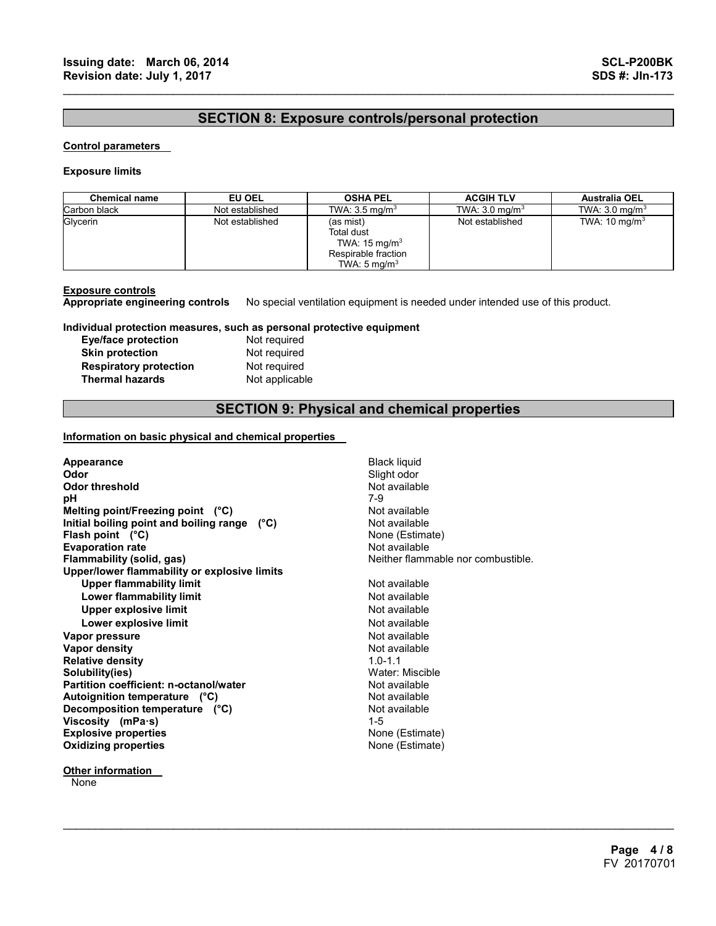### **SECTION 8: Exposure controls/personal protection**

 $\mathcal{L}_\mathcal{L} = \{ \mathcal{L}_\mathcal{L} = \{ \mathcal{L}_\mathcal{L} = \{ \mathcal{L}_\mathcal{L} = \{ \mathcal{L}_\mathcal{L} = \{ \mathcal{L}_\mathcal{L} = \{ \mathcal{L}_\mathcal{L} = \{ \mathcal{L}_\mathcal{L} = \{ \mathcal{L}_\mathcal{L} = \{ \mathcal{L}_\mathcal{L} = \{ \mathcal{L}_\mathcal{L} = \{ \mathcal{L}_\mathcal{L} = \{ \mathcal{L}_\mathcal{L} = \{ \mathcal{L}_\mathcal{L} = \{ \mathcal{L}_\mathcal{$ 

#### **Control parameters**

#### **Exposure limits**

| <b>Chemical name</b> | EU OEL          | <b>OSHA PEL</b>                                                                                              | <b>ACGIH TLV</b>          | <b>Australia OEL</b>      |
|----------------------|-----------------|--------------------------------------------------------------------------------------------------------------|---------------------------|---------------------------|
| Carbon black         | Not established | TWA: $3.5 \text{ mg/m}^3$                                                                                    | TWA: $3.0 \text{ mg/m}^3$ | TWA: $3.0 \text{ mg/m}^3$ |
| Glycerin             | Not established | (as mist)<br><b>Total dust</b><br>TWA: $15 \text{ mg/m}^3$<br>Respirable fraction<br>TWA: $5 \text{ mg/m}^3$ | Not established           | TWA: $10 \text{ mg/m}^3$  |

#### **Exposure controls**

**Appropriate engineering controls** No special ventilation equipment is needed under intended use of this product.

**Individual protection measures, such as personal protective equipment Exercise** 

| <b>Eye/face protection</b>    | Not required   |
|-------------------------------|----------------|
| <b>Skin protection</b>        | Not required   |
| <b>Respiratory protection</b> | Not required   |
| <b>Thermal hazards</b>        | Not applicable |

# **SECTION 9: Physical and chemical properties**

 $\mathcal{L}_\mathcal{L} = \mathcal{L}_\mathcal{L} = \mathcal{L}_\mathcal{L} = \mathcal{L}_\mathcal{L} = \mathcal{L}_\mathcal{L} = \mathcal{L}_\mathcal{L} = \mathcal{L}_\mathcal{L} = \mathcal{L}_\mathcal{L} = \mathcal{L}_\mathcal{L} = \mathcal{L}_\mathcal{L} = \mathcal{L}_\mathcal{L} = \mathcal{L}_\mathcal{L} = \mathcal{L}_\mathcal{L} = \mathcal{L}_\mathcal{L} = \mathcal{L}_\mathcal{L} = \mathcal{L}_\mathcal{L} = \mathcal{L}_\mathcal{L}$ 

### **Information on basic physical and chemical properties**

| Appearance                                    | <b>Black liquid</b>                |
|-----------------------------------------------|------------------------------------|
| Odor                                          | Slight odor                        |
| <b>Odor threshold</b>                         | Not available                      |
| рH                                            | 7-9                                |
| Melting point/Freezing point (°C)             | Not available                      |
| Initial boiling point and boiling range (°C)  | Not available                      |
| Flash point $(^{\circ}C)$                     | None (Estimate)                    |
| <b>Evaporation rate</b>                       | Not available                      |
| Flammability (solid, gas)                     | Neither flammable nor combustible. |
| Upper/lower flammability or explosive limits  |                                    |
| <b>Upper flammability limit</b>               | Not available                      |
| Lower flammability limit                      | Not available                      |
| Upper explosive limit                         | Not available                      |
| Lower explosive limit                         | Not available                      |
| Vapor pressure                                | Not available                      |
| <b>Vapor density</b>                          | Not available                      |
| <b>Relative density</b>                       | $10 - 11$                          |
| Solubility(ies)                               | Water: Miscible                    |
| <b>Partition coefficient: n-octanol/water</b> | Not available                      |
| Autoignition temperature (°C)                 | Not available                      |
| Decomposition temperature (°C)                | Not available                      |
| Viscosity (mPa $\cdot$ s)                     | $1 - 5$                            |
| <b>Explosive properties</b>                   | None (Estimate)                    |
| <b>Oxidizing properties</b>                   | None (Estimate)                    |
|                                               |                                    |

**Other information** 

None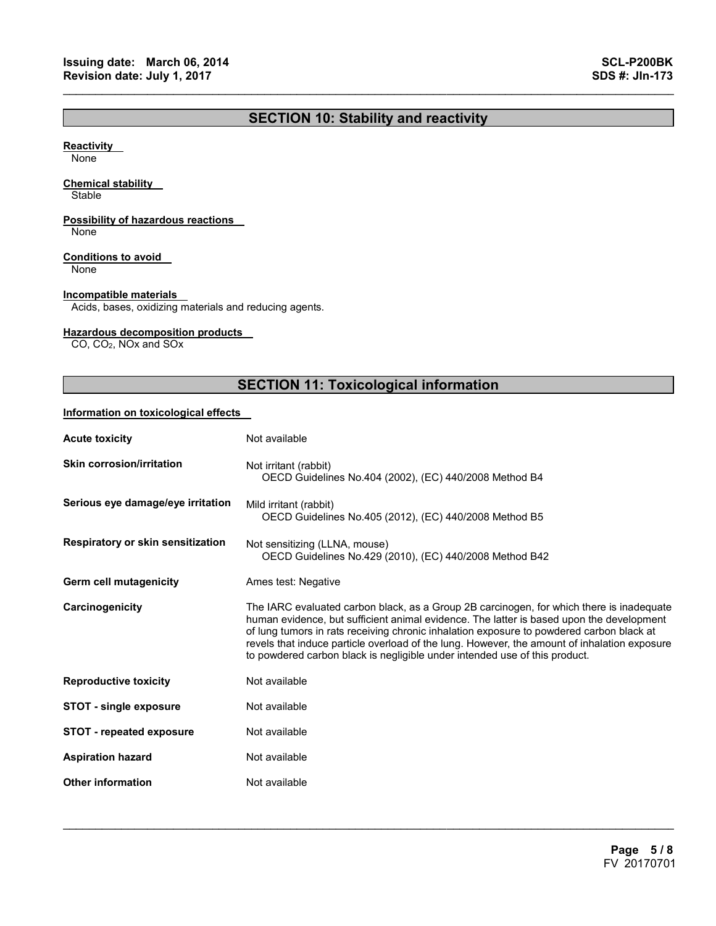# **SECTION 10: Stability and reactivity**

 $\mathcal{L}_\mathcal{L} = \{ \mathcal{L}_\mathcal{L} = \{ \mathcal{L}_\mathcal{L} = \{ \mathcal{L}_\mathcal{L} = \{ \mathcal{L}_\mathcal{L} = \{ \mathcal{L}_\mathcal{L} = \{ \mathcal{L}_\mathcal{L} = \{ \mathcal{L}_\mathcal{L} = \{ \mathcal{L}_\mathcal{L} = \{ \mathcal{L}_\mathcal{L} = \{ \mathcal{L}_\mathcal{L} = \{ \mathcal{L}_\mathcal{L} = \{ \mathcal{L}_\mathcal{L} = \{ \mathcal{L}_\mathcal{L} = \{ \mathcal{L}_\mathcal{$ 

### **Reactivity**

None

### **Chemical stability**

**Stable** 

### **Possibility of hazardous reactions**

None

### **Conditions to avoid**

None

### **Incompatible materials**

Acids, bases, oxidizing materials and reducing agents.

### **Hazardous decomposition products**

CO, CO2, NOx and SOx

# **SECTION 11: Toxicological information**

### **Information on toxicological effects**

| <b>Acute toxicity</b>             | Not available                                                                                                                                                                                                                                                                                                                                                                                                                                                  |
|-----------------------------------|----------------------------------------------------------------------------------------------------------------------------------------------------------------------------------------------------------------------------------------------------------------------------------------------------------------------------------------------------------------------------------------------------------------------------------------------------------------|
| <b>Skin corrosion/irritation</b>  | Not irritant (rabbit)<br>OECD Guidelines No.404 (2002), (EC) 440/2008 Method B4                                                                                                                                                                                                                                                                                                                                                                                |
| Serious eye damage/eye irritation | Mild irritant (rabbit)<br>OECD Guidelines No.405 (2012), (EC) 440/2008 Method B5                                                                                                                                                                                                                                                                                                                                                                               |
| Respiratory or skin sensitization | Not sensitizing (LLNA, mouse)<br>OECD Guidelines No.429 (2010), (EC) 440/2008 Method B42                                                                                                                                                                                                                                                                                                                                                                       |
| Germ cell mutagenicity            | Ames test: Negative                                                                                                                                                                                                                                                                                                                                                                                                                                            |
| Carcinogenicity                   | The IARC evaluated carbon black, as a Group 2B carcinogen, for which there is inadequate<br>human evidence, but sufficient animal evidence. The latter is based upon the development<br>of lung tumors in rats receiving chronic inhalation exposure to powdered carbon black at<br>revels that induce particle overload of the lung. However, the amount of inhalation exposure<br>to powdered carbon black is negligible under intended use of this product. |
| <b>Reproductive toxicity</b>      | Not available                                                                                                                                                                                                                                                                                                                                                                                                                                                  |
| <b>STOT - single exposure</b>     | Not available                                                                                                                                                                                                                                                                                                                                                                                                                                                  |
| <b>STOT - repeated exposure</b>   | Not available                                                                                                                                                                                                                                                                                                                                                                                                                                                  |
| <b>Aspiration hazard</b>          | Not available                                                                                                                                                                                                                                                                                                                                                                                                                                                  |
| <b>Other information</b>          | Not available                                                                                                                                                                                                                                                                                                                                                                                                                                                  |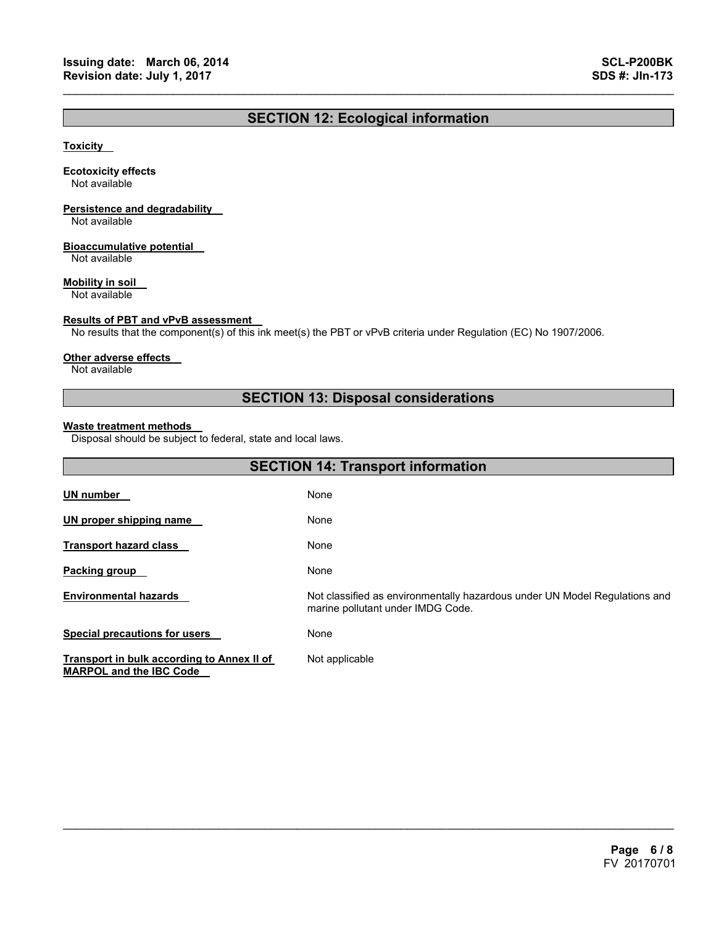# **SECTION 12: Ecological information**

 $\mathcal{L}_\mathcal{L} = \{ \mathcal{L}_\mathcal{L} = \{ \mathcal{L}_\mathcal{L} = \{ \mathcal{L}_\mathcal{L} = \{ \mathcal{L}_\mathcal{L} = \{ \mathcal{L}_\mathcal{L} = \{ \mathcal{L}_\mathcal{L} = \{ \mathcal{L}_\mathcal{L} = \{ \mathcal{L}_\mathcal{L} = \{ \mathcal{L}_\mathcal{L} = \{ \mathcal{L}_\mathcal{L} = \{ \mathcal{L}_\mathcal{L} = \{ \mathcal{L}_\mathcal{L} = \{ \mathcal{L}_\mathcal{L} = \{ \mathcal{L}_\mathcal{$ 

### **Toxicity**

#### **Ecotoxicity effects**

Not available

# **Persistence and degradability**

Not available

### **Bioaccumulative potential**

Not available

### **Mobility in soil**

Not available

### **Results of PBT and vPvB assessment**

No results that the component(s) of this ink meet(s) the PBT or vPvB criteria under Regulation (EC) No 1907/2006.

### **Other adverse effects**

Not available

# **SECTION 13: Disposal considerations**

#### **Waste treatment methods**

Disposal should be subject to federal, state and local laws.

| <b>SECTION 14: Transport information</b>                                     |                                                                                                                 |  |
|------------------------------------------------------------------------------|-----------------------------------------------------------------------------------------------------------------|--|
| <b>UN number</b>                                                             | None                                                                                                            |  |
| UN proper shipping name                                                      | None                                                                                                            |  |
| <b>Transport hazard class</b>                                                | None                                                                                                            |  |
| Packing group                                                                | None                                                                                                            |  |
| <b>Environmental hazards</b>                                                 | Not classified as environmentally hazardous under UN Model Regulations and<br>marine pollutant under IMDG Code. |  |
| <b>Special precautions for users</b>                                         | None                                                                                                            |  |
| Transport in bulk according to Annex II of<br><b>MARPOL and the IBC Code</b> | Not applicable                                                                                                  |  |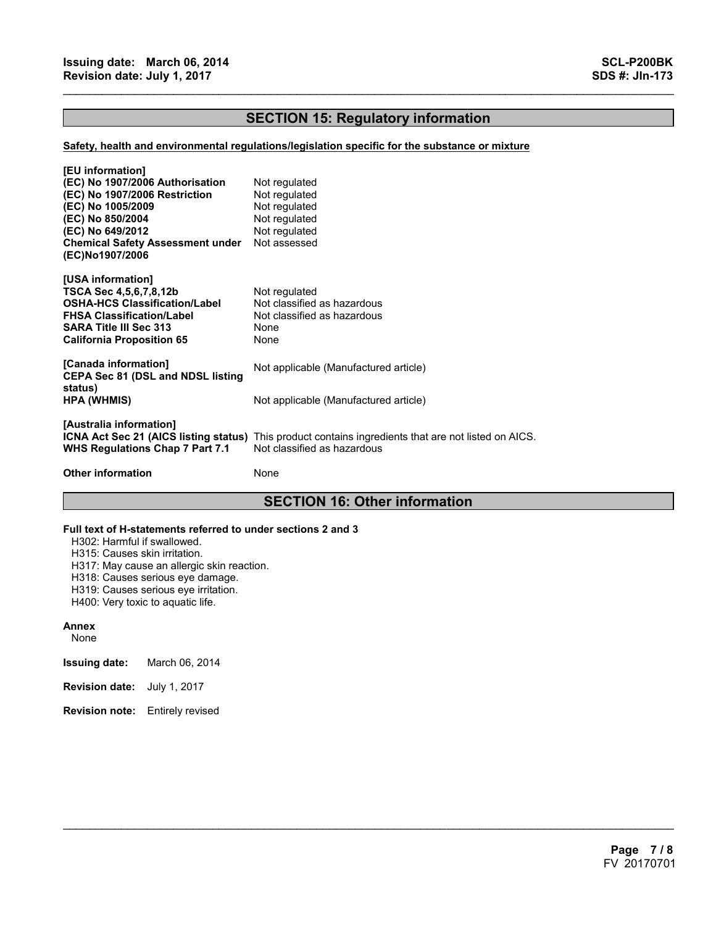# **SECTION 15: Regulatory information**

 $\mathcal{L}_\mathcal{L} = \{ \mathcal{L}_\mathcal{L} = \{ \mathcal{L}_\mathcal{L} = \{ \mathcal{L}_\mathcal{L} = \{ \mathcal{L}_\mathcal{L} = \{ \mathcal{L}_\mathcal{L} = \{ \mathcal{L}_\mathcal{L} = \{ \mathcal{L}_\mathcal{L} = \{ \mathcal{L}_\mathcal{L} = \{ \mathcal{L}_\mathcal{L} = \{ \mathcal{L}_\mathcal{L} = \{ \mathcal{L}_\mathcal{L} = \{ \mathcal{L}_\mathcal{L} = \{ \mathcal{L}_\mathcal{L} = \{ \mathcal{L}_\mathcal{$ 

### **Safety, health and environmental regulations/legislation specific for the substance or mixture**

| [EU information]<br>(EC) No 1907/2006 Authorisation<br>(EC) No 1907/2006 Restriction<br>(EC) No 1005/2009<br>(EC) No 850/2004<br>(EC) No 649/2012<br><b>Chemical Safety Assessment under</b><br>(EC)No1907/2006 | Not regulated<br>Not regulated<br>Not regulated<br>Not regulated<br>Not regulated<br>Not assessed                                          |
|-----------------------------------------------------------------------------------------------------------------------------------------------------------------------------------------------------------------|--------------------------------------------------------------------------------------------------------------------------------------------|
| [USA information]<br>TSCA Sec 4,5,6,7,8,12b<br>OSHA-HCS Classification/Label<br><b>FHSA Classification/Label</b><br>SARA Title III Sec 313<br>California Proposition 65                                         | Not regulated<br>Not classified as hazardous<br>Not classified as hazardous<br>None<br>None                                                |
| [Canada information]<br><b>CEPA Sec 81 (DSL and NDSL listing</b>                                                                                                                                                | Not applicable (Manufactured article)                                                                                                      |
| status)<br>HPA (WHMIS)                                                                                                                                                                                          | Not applicable (Manufactured article)                                                                                                      |
| [Australia information]<br><b>WHS Regulations Chap 7 Part 7.1</b>                                                                                                                                               | <b>ICNA Act Sec 21 (AICS listing status)</b> This product contains ingredients that are not listed on AICS.<br>Not classified as hazardous |
| <b>Other information</b>                                                                                                                                                                                        | None                                                                                                                                       |

# **SECTION 16: Other information**

 $\mathcal{L}_\mathcal{L} = \mathcal{L}_\mathcal{L} = \mathcal{L}_\mathcal{L} = \mathcal{L}_\mathcal{L} = \mathcal{L}_\mathcal{L} = \mathcal{L}_\mathcal{L} = \mathcal{L}_\mathcal{L} = \mathcal{L}_\mathcal{L} = \mathcal{L}_\mathcal{L} = \mathcal{L}_\mathcal{L} = \mathcal{L}_\mathcal{L} = \mathcal{L}_\mathcal{L} = \mathcal{L}_\mathcal{L} = \mathcal{L}_\mathcal{L} = \mathcal{L}_\mathcal{L} = \mathcal{L}_\mathcal{L} = \mathcal{L}_\mathcal{L}$ 

### **Full text of H-statements referred to under sections 2 and 3**

H302: Harmful if swallowed.

H315: Causes skin irritation.

H317: May cause an allergic skin reaction.

H318: Causes serious eye damage.

H319: Causes serious eye irritation.

H400: Very toxic to aquatic life.

### **Annex**

None

**Issuing date:** March 06, 2014

- **Revision date:** July 1, 2017
- **Revision note:** Entirely revised